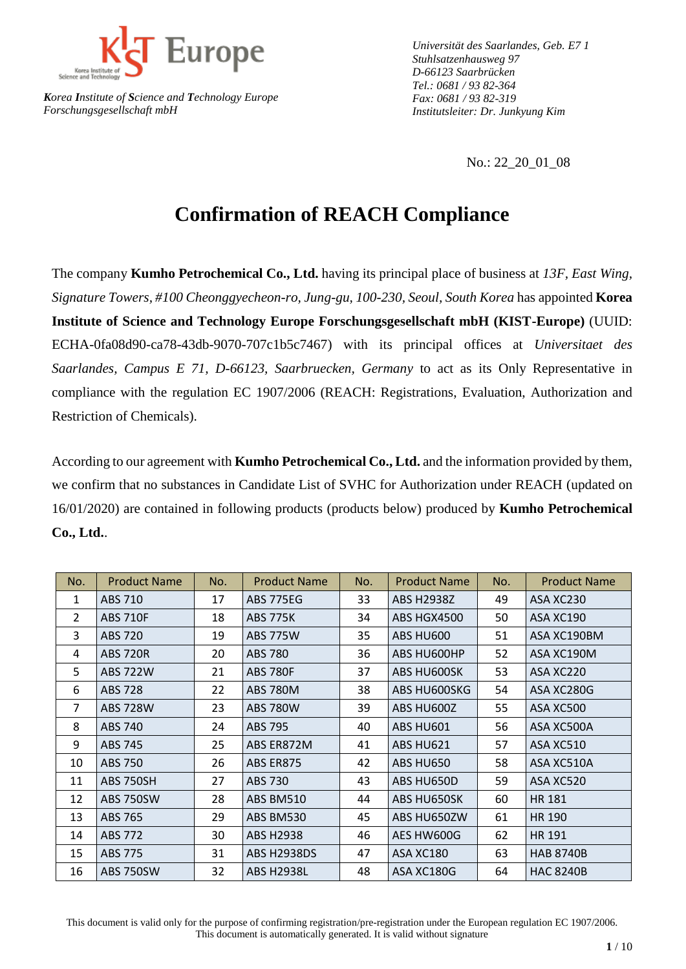

*Universität des Saarlandes, Geb. E7 1 Stuhlsatzenhausweg 97 D-66123 Saarbrücken Tel.: 0681 / 93 82-364 Fax: 0681 / 93 82-319 Institutsleiter: Dr. Junkyung Kim*

No.: 22\_20\_01\_08

## **Confirmation of REACH Compliance**

The company **Kumho Petrochemical Co., Ltd.** having its principal place of business at *13F, East Wing, Signature Towers, #100 Cheonggyecheon-ro, Jung-gu, 100-230, Seoul, South Korea* has appointed **Korea Institute of Science and Technology Europe Forschungsgesellschaft mbH (KIST-Europe)** (UUID: ECHA-0fa08d90-ca78-43db-9070-707c1b5c7467) with its principal offices at *Universitaet des Saarlandes, Campus E 71, D-66123, Saarbruecken, Germany* to act as its Only Representative in compliance with the regulation EC 1907/2006 (REACH: Registrations, Evaluation, Authorization and Restriction of Chemicals).

According to our agreement with **Kumho Petrochemical Co., Ltd.** and the information provided by them, we confirm that no substances in Candidate List of SVHC for Authorization under REACH (updated on 16/01/2020) are contained in following products (products below) produced by **Kumho Petrochemical Co., Ltd.**.

| No.            | <b>Product Name</b> | No. | <b>Product Name</b> | No. | <b>Product Name</b> | No. | <b>Product Name</b> |
|----------------|---------------------|-----|---------------------|-----|---------------------|-----|---------------------|
| $\mathbf{1}$   | ABS 710             | 17  | ABS 775EG           | 33  | <b>ABS H2938Z</b>   | 49  | ASA XC230           |
| $\overline{2}$ | <b>ABS 710F</b>     | 18  | <b>ABS 775K</b>     | 34  | ABS HGX4500         | 50  | ASA XC190           |
| 3              | <b>ABS 720</b>      | 19  | <b>ABS 775W</b>     | 35  | ABS HU600           | 51  | ASA XC190BM         |
| 4              | <b>ABS 720R</b>     | 20  | <b>ABS 780</b>      | 36  | ABS HU600HP         | 52  | ASA XC190M          |
| 5              | <b>ABS 722W</b>     | 21  | <b>ABS 780F</b>     | 37  | ABS HU600SK         | 53  | ASA XC220           |
| 6              | <b>ABS 728</b>      | 22  | <b>ABS 780M</b>     | 38  | ABS HU600SKG        | 54  | ASA XC280G          |
| 7              | <b>ABS 728W</b>     | 23  | <b>ABS 780W</b>     | 39  | ABS HU600Z          | 55  | ASA XC500           |
| 8              | ABS 740             | 24  | <b>ABS 795</b>      | 40  | ABS HU601           | 56  | ASA XC500A          |
| 9              | ABS 745             | 25  | ABS ER872M          | 41  | ABS HU621           | 57  | ASA XC510           |
| 10             | <b>ABS 750</b>      | 26  | ABS ER875           | 42  | ABS HU650           | 58  | ASA XC510A          |
| 11             | <b>ABS 750SH</b>    | 27  | ABS 730             | 43  | ABS HU650D          | 59  | ASA XC520           |
| 12             | <b>ABS 750SW</b>    | 28  | ABS BM510           | 44  | ABS HU650SK         | 60  | <b>HR 181</b>       |
| 13             | ABS 765             | 29  | ABS BM530           | 45  | ABS HU650ZW         | 61  | HR 190              |
| 14             | ABS 772             | 30  | <b>ABS H2938</b>    | 46  | AES HW600G          | 62  | HR 191              |
| 15             | <b>ABS 775</b>      | 31  | <b>ABS H2938DS</b>  | 47  | ASA XC180           | 63  | <b>HAB 8740B</b>    |
| 16             | <b>ABS 750SW</b>    | 32  | <b>ABS H2938L</b>   | 48  | ASA XC180G          | 64  | <b>HAC 8240B</b>    |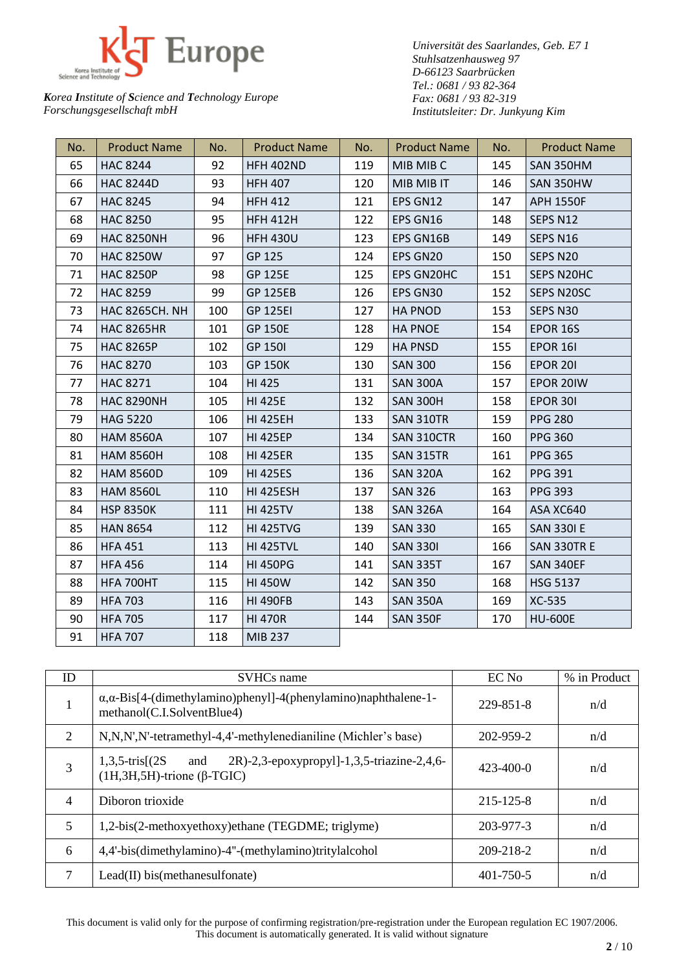

*Universität des Saarlandes, Geb. E7 1 Stuhlsatzenhausweg 97 D-66123 Saarbrücken Tel.: 0681 / 93 82-364 Fax: 0681 / 93 82-319 Institutsleiter: Dr. Junkyung Kim*

| No. | <b>Product Name</b>   | No. | <b>Product Name</b> | No. | <b>Product Name</b> | No. | <b>Product Name</b> |
|-----|-----------------------|-----|---------------------|-----|---------------------|-----|---------------------|
| 65  | <b>HAC 8244</b>       | 92  | <b>HFH 402ND</b>    | 119 | MIB MIB C           | 145 | SAN 350HM           |
| 66  | <b>HAC 8244D</b>      | 93  | <b>HFH 407</b>      | 120 | MIB MIB IT          | 146 | SAN 350HW           |
| 67  | <b>HAC 8245</b>       | 94  | <b>HFH 412</b>      | 121 | EPS GN12            | 147 | <b>APH 1550F</b>    |
| 68  | <b>HAC 8250</b>       | 95  | <b>HFH 412H</b>     | 122 | EPS GN16            | 148 | SEPS N12            |
| 69  | <b>HAC 8250NH</b>     | 96  | <b>HFH 430U</b>     | 123 | EPS GN16B           | 149 | SEPS N16            |
| 70  | <b>HAC 8250W</b>      | 97  | GP 125              | 124 | EPS GN20            | 150 | SEPS N20            |
| 71  | <b>HAC 8250P</b>      | 98  | <b>GP 125E</b>      | 125 | EPS GN20HC          | 151 | SEPS N20HC          |
| 72  | <b>HAC 8259</b>       | 99  | <b>GP 125EB</b>     | 126 | EPS GN30            | 152 | SEPS N20SC          |
| 73  | <b>HAC 8265CH. NH</b> | 100 | <b>GP 125EI</b>     | 127 | <b>HA PNOD</b>      | 153 | SEPS N30            |
| 74  | <b>HAC 8265HR</b>     | 101 | <b>GP 150E</b>      | 128 | <b>HA PNOE</b>      | 154 | <b>EPOR 16S</b>     |
| 75  | <b>HAC 8265P</b>      | 102 | <b>GP 150I</b>      | 129 | <b>HA PNSD</b>      | 155 | EPOR 16I            |
| 76  | <b>HAC 8270</b>       | 103 | <b>GP 150K</b>      | 130 | <b>SAN 300</b>      | 156 | <b>EPOR 201</b>     |
| 77  | <b>HAC 8271</b>       | 104 | HI 425              | 131 | <b>SAN 300A</b>     | 157 | EPOR 20IW           |
| 78  | <b>HAC 8290NH</b>     | 105 | <b>HI 425E</b>      | 132 | <b>SAN 300H</b>     | 158 | EPOR 301            |
| 79  | <b>HAG 5220</b>       | 106 | <b>HI 425EH</b>     | 133 | SAN 310TR           | 159 | <b>PPG 280</b>      |
| 80  | <b>HAM 8560A</b>      | 107 | <b>HI 425EP</b>     | 134 | SAN 310CTR          | 160 | <b>PPG 360</b>      |
| 81  | <b>HAM 8560H</b>      | 108 | <b>HI 425ER</b>     | 135 | SAN 315TR           | 161 | <b>PPG 365</b>      |
| 82  | <b>HAM 8560D</b>      | 109 | <b>HI 425ES</b>     | 136 | <b>SAN 320A</b>     | 162 | <b>PPG 391</b>      |
| 83  | <b>HAM 8560L</b>      | 110 | <b>HI 425ESH</b>    | 137 | <b>SAN 326</b>      | 163 | <b>PPG 393</b>      |
| 84  | <b>HSP 8350K</b>      | 111 | <b>HI 425TV</b>     | 138 | <b>SAN 326A</b>     | 164 | ASA XC640           |
| 85  | <b>HAN 8654</b>       | 112 | <b>HI 425TVG</b>    | 139 | <b>SAN 330</b>      | 165 | <b>SAN 3301 E</b>   |
| 86  | <b>HFA 451</b>        | 113 | <b>HI 425TVL</b>    | 140 | <b>SAN 3301</b>     | 166 | SAN 330TR E         |
| 87  | <b>HFA 456</b>        | 114 | <b>HI 450PG</b>     | 141 | <b>SAN 335T</b>     | 167 | SAN 340EF           |
| 88  | HFA 700HT             | 115 | <b>HI 450W</b>      | 142 | <b>SAN 350</b>      | 168 | <b>HSG 5137</b>     |
| 89  | <b>HFA 703</b>        | 116 | <b>HI 490FB</b>     | 143 | <b>SAN 350A</b>     | 169 | XC-535              |
| 90  | <b>HFA 705</b>        | 117 | <b>HI 470R</b>      | 144 | <b>SAN 350F</b>     | 170 | <b>HU-600E</b>      |
| 91  | <b>HFA 707</b>        | 118 | MIB 237             |     |                     |     |                     |

| ID             | <b>SVHCs</b> name                                                                                                    | EC No           | % in Product |
|----------------|----------------------------------------------------------------------------------------------------------------------|-----------------|--------------|
| 1              | $\alpha, \alpha$ -Bis[4-(dimethylamino)phenyl]-4(phenylamino)naphthalene-1-<br>methanol(C.I.SolventBlue4)            | 229-851-8       | n/d          |
| 2              | N,N,N',N'-tetramethyl-4,4'-methylenedianiline (Michler's base)                                                       | 202-959-2       | n/d          |
| 3              | 2R)-2,3-epoxypropyl]-1,3,5-triazine-2,4,6-<br>$1,3,5$ -tris $(2S)$<br>and<br>$(1H, 3H, 5H)$ -trione ( $\beta$ -TGIC) | $423 - 400 - 0$ | n/d          |
| $\overline{4}$ | Diboron trioxide                                                                                                     | 215-125-8       | n/d          |
| 5              | 1,2-bis(2-methoxyethoxy)ethane (TEGDME; triglyme)                                                                    | 203-977-3       | n/d          |
| 6              | 4,4'-bis(dimethylamino)-4"-(methylamino)tritylalcohol                                                                | 209-218-2       | n/d          |
| 7              | Lead(II) bis(methanesulfonate)                                                                                       | $401 - 750 - 5$ | n/d          |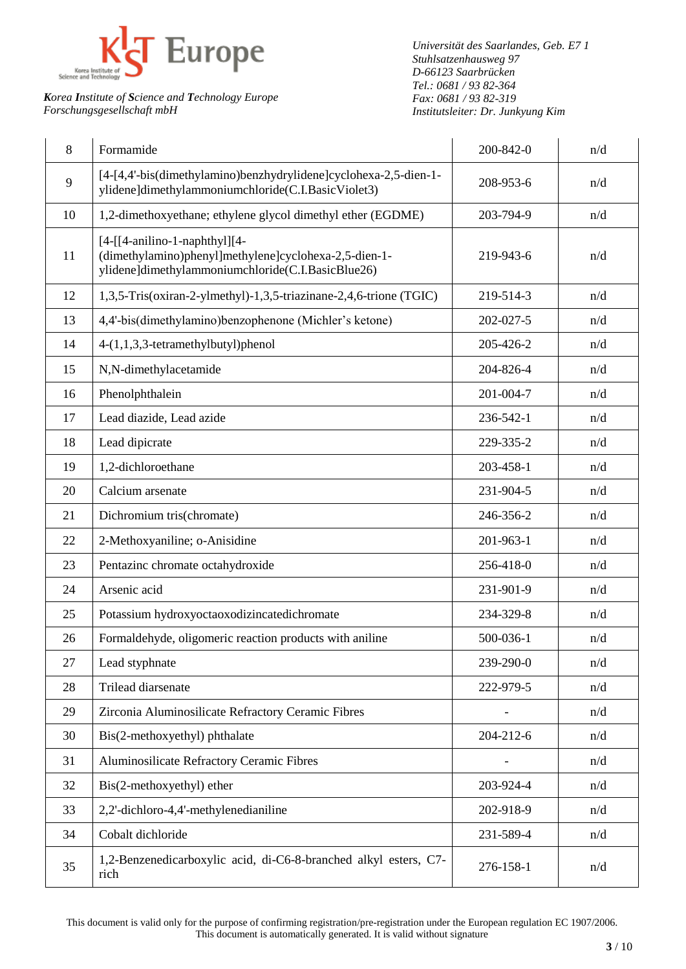

*Universität des Saarlandes, Geb. E7 1 Stuhlsatzenhausweg 97 D-66123 Saarbrücken Tel.: 0681 / 93 82-364 Fax: 0681 / 93 82-319 Institutsleiter: Dr. Junkyung Kim*

| 8  | Formamide                                                                                                                                      | 200-842-0 | n/d |
|----|------------------------------------------------------------------------------------------------------------------------------------------------|-----------|-----|
| 9  | [4-[4,4'-bis(dimethylamino)benzhydrylidene]cyclohexa-2,5-dien-1-<br>ylidene]dimethylammoniumchloride(C.I.BasicViolet3)                         | 208-953-6 | n/d |
| 10 | 1,2-dimethoxyethane; ethylene glycol dimethyl ether (EGDME)                                                                                    | 203-794-9 | n/d |
| 11 | $[4-[4-ani]$ lino-1-naphthyl][4-<br>(dimethylamino)phenyl]methylene]cyclohexa-2,5-dien-1-<br>ylidene]dimethylammoniumchloride(C.I.BasicBlue26) | 219-943-6 | n/d |
| 12 | 1,3,5-Tris(oxiran-2-ylmethyl)-1,3,5-triazinane-2,4,6-trione (TGIC)                                                                             | 219-514-3 | n/d |
| 13 | 4,4'-bis(dimethylamino)benzophenone (Michler's ketone)                                                                                         | 202-027-5 | n/d |
| 14 | 4-(1,1,3,3-tetramethylbutyl)phenol                                                                                                             | 205-426-2 | n/d |
| 15 | N,N-dimethylacetamide                                                                                                                          | 204-826-4 | n/d |
| 16 | Phenolphthalein                                                                                                                                | 201-004-7 | n/d |
| 17 | Lead diazide, Lead azide                                                                                                                       | 236-542-1 | n/d |
| 18 | Lead dipicrate                                                                                                                                 | 229-335-2 | n/d |
| 19 | 1,2-dichloroethane                                                                                                                             | 203-458-1 | n/d |
| 20 | Calcium arsenate                                                                                                                               | 231-904-5 | n/d |
| 21 | Dichromium tris(chromate)                                                                                                                      | 246-356-2 | n/d |
| 22 | 2-Methoxyaniline; o-Anisidine                                                                                                                  | 201-963-1 | n/d |
| 23 | Pentazinc chromate octahydroxide                                                                                                               | 256-418-0 | n/d |
| 24 | Arsenic acid                                                                                                                                   | 231-901-9 | n/d |
| 25 | Potassium hydroxyoctaoxodizincatedichromate                                                                                                    | 234-329-8 | n/d |
| 26 | Formaldehyde, oligomeric reaction products with aniline                                                                                        | 500-036-1 | n/d |
| 27 | Lead styphnate                                                                                                                                 | 239-290-0 | n/d |
| 28 | Trilead diarsenate                                                                                                                             | 222-979-5 | n/d |
| 29 | Zirconia Aluminosilicate Refractory Ceramic Fibres                                                                                             |           | n/d |
| 30 | Bis(2-methoxyethyl) phthalate                                                                                                                  | 204-212-6 | n/d |
| 31 | Aluminosilicate Refractory Ceramic Fibres                                                                                                      |           | n/d |
| 32 | Bis(2-methoxyethyl) ether                                                                                                                      | 203-924-4 | n/d |
| 33 | 2,2'-dichloro-4,4'-methylenedianiline                                                                                                          | 202-918-9 | n/d |
| 34 | Cobalt dichloride                                                                                                                              | 231-589-4 | n/d |
| 35 | 1,2-Benzenedicarboxylic acid, di-C6-8-branched alkyl esters, C7-<br>rich                                                                       | 276-158-1 | n/d |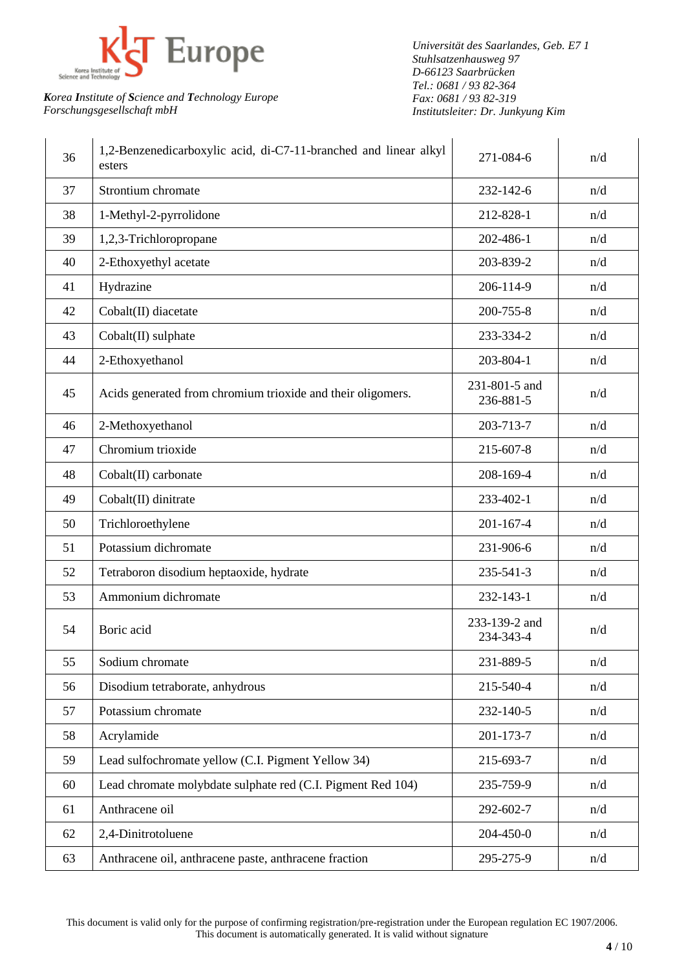

*Universität des Saarlandes, Geb. E7 1 Stuhlsatzenhausweg 97 D-66123 Saarbrücken Tel.: 0681 / 93 82-364 Fax: 0681 / 93 82-319 Institutsleiter: Dr. Junkyung Kim*

| 36 | 1,2-Benzenedicarboxylic acid, di-C7-11-branched and linear alkyl<br>esters | 271-084-6                  | n/d |
|----|----------------------------------------------------------------------------|----------------------------|-----|
| 37 | Strontium chromate                                                         | 232-142-6                  | n/d |
| 38 | 1-Methyl-2-pyrrolidone                                                     | 212-828-1                  | n/d |
| 39 | 1,2,3-Trichloropropane                                                     | 202-486-1                  | n/d |
| 40 | 2-Ethoxyethyl acetate                                                      | 203-839-2                  | n/d |
| 41 | Hydrazine                                                                  | 206-114-9                  | n/d |
| 42 | Cobalt(II) diacetate                                                       | 200-755-8                  | n/d |
| 43 | Cobalt(II) sulphate                                                        | 233-334-2                  | n/d |
| 44 | 2-Ethoxyethanol                                                            | 203-804-1                  | n/d |
| 45 | Acids generated from chromium trioxide and their oligomers.                | 231-801-5 and<br>236-881-5 | n/d |
| 46 | 2-Methoxyethanol                                                           | 203-713-7                  | n/d |
| 47 | Chromium trioxide                                                          | 215-607-8                  | n/d |
| 48 | Cobalt(II) carbonate                                                       | 208-169-4                  | n/d |
| 49 | Cobalt(II) dinitrate                                                       | 233-402-1                  | n/d |
| 50 | Trichloroethylene                                                          | $201 - 167 - 4$            | n/d |
| 51 | Potassium dichromate                                                       | 231-906-6                  | n/d |
| 52 | Tetraboron disodium heptaoxide, hydrate                                    | 235-541-3                  | n/d |
| 53 | Ammonium dichromate                                                        | 232-143-1                  | n/d |
| 54 | Boric acid                                                                 | 233-139-2 and<br>234-343-4 | n/d |
| 55 | Sodium chromate                                                            | 231-889-5                  | n/d |
| 56 | Disodium tetraborate, anhydrous                                            | 215-540-4                  | n/d |
| 57 | Potassium chromate                                                         | 232-140-5                  | n/d |
| 58 | Acrylamide                                                                 | 201-173-7                  | n/d |
| 59 | Lead sulfochromate yellow (C.I. Pigment Yellow 34)                         | 215-693-7                  | n/d |
| 60 | Lead chromate molybdate sulphate red (C.I. Pigment Red 104)                | 235-759-9                  | n/d |
| 61 | Anthracene oil                                                             | 292-602-7                  | n/d |
| 62 | 2,4-Dinitrotoluene                                                         | 204-450-0                  | n/d |
| 63 | Anthracene oil, anthracene paste, anthracene fraction                      | 295-275-9                  | n/d |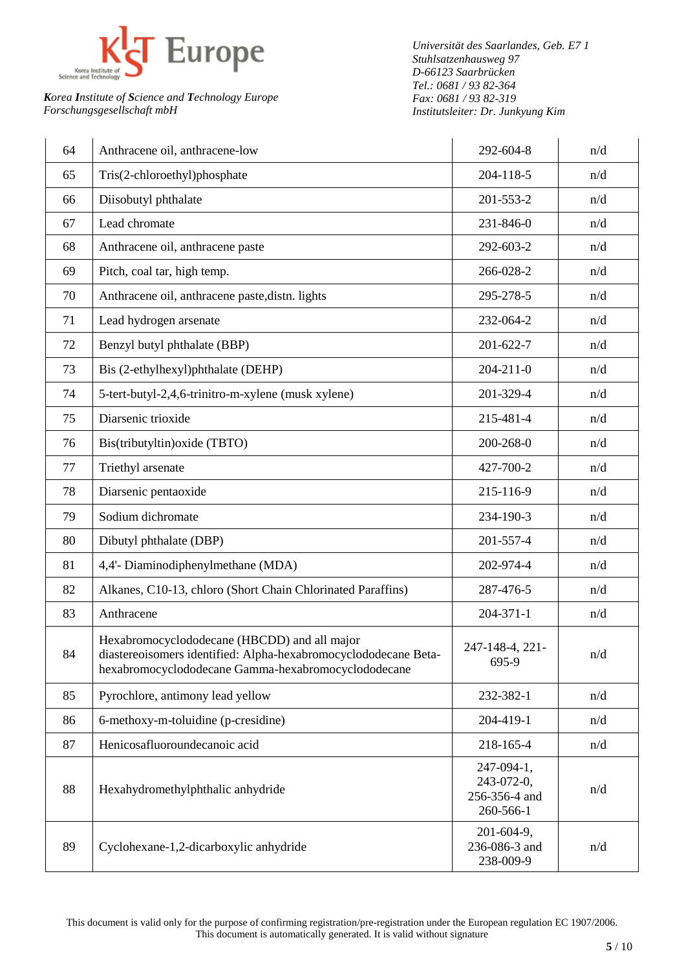

*Universität des Saarlandes, Geb. E7 1 Stuhlsatzenhausweg 97 D-66123 Saarbrücken Tel.: 0681 / 93 82-364 Fax: 0681 / 93 82-319 Institutsleiter: Dr. Junkyung Kim*

| 64 | Anthracene oil, anthracene-low                                                                                                                                         | 292-604-8                                              | n/d |
|----|------------------------------------------------------------------------------------------------------------------------------------------------------------------------|--------------------------------------------------------|-----|
| 65 | Tris(2-chloroethyl)phosphate                                                                                                                                           | 204-118-5                                              | n/d |
| 66 | Diisobutyl phthalate                                                                                                                                                   | 201-553-2                                              | n/d |
| 67 | Lead chromate                                                                                                                                                          | 231-846-0                                              | n/d |
| 68 | Anthracene oil, anthracene paste                                                                                                                                       | 292-603-2                                              | n/d |
| 69 | Pitch, coal tar, high temp.                                                                                                                                            | 266-028-2                                              | n/d |
| 70 | Anthracene oil, anthracene paste, distn. lights                                                                                                                        | 295-278-5                                              | n/d |
| 71 | Lead hydrogen arsenate                                                                                                                                                 | 232-064-2                                              | n/d |
| 72 | Benzyl butyl phthalate (BBP)                                                                                                                                           | 201-622-7                                              | n/d |
| 73 | Bis (2-ethylhexyl)phthalate (DEHP)                                                                                                                                     | $204 - 211 - 0$                                        | n/d |
| 74 | 5-tert-butyl-2,4,6-trinitro-m-xylene (musk xylene)                                                                                                                     | 201-329-4                                              | n/d |
| 75 | Diarsenic trioxide                                                                                                                                                     | 215-481-4                                              | n/d |
| 76 | Bis(tributyltin) oxide (TBTO)                                                                                                                                          | 200-268-0                                              | n/d |
| 77 | Triethyl arsenate                                                                                                                                                      | 427-700-2                                              | n/d |
| 78 | Diarsenic pentaoxide                                                                                                                                                   | 215-116-9                                              | n/d |
| 79 | Sodium dichromate                                                                                                                                                      | 234-190-3                                              | n/d |
| 80 | Dibutyl phthalate (DBP)                                                                                                                                                | 201-557-4                                              | n/d |
| 81 | 4,4'- Diaminodiphenylmethane (MDA)                                                                                                                                     | 202-974-4                                              | n/d |
| 82 | Alkanes, C10-13, chloro (Short Chain Chlorinated Paraffins)                                                                                                            | 287-476-5                                              | n/d |
| 83 | Anthracene                                                                                                                                                             | $204 - 371 - 1$                                        | n/d |
| 84 | Hexabromocyclododecane (HBCDD) and all major<br>diastereoisomers identified: Alpha-hexabromocyclododecane Beta-<br>hexabromocyclododecane Gamma-hexabromocyclododecane | 247-148-4, 221-<br>695-9                               | n/d |
| 85 | Pyrochlore, antimony lead yellow                                                                                                                                       | 232-382-1                                              | n/d |
| 86 | 6-methoxy-m-toluidine (p-cresidine)                                                                                                                                    | 204-419-1                                              | n/d |
| 87 | Henicosafluoroundecanoic acid                                                                                                                                          | 218-165-4                                              | n/d |
| 88 | Hexahydromethylphthalic anhydride                                                                                                                                      | 247-094-1,<br>243-072-0,<br>256-356-4 and<br>260-566-1 | n/d |
| 89 | Cyclohexane-1,2-dicarboxylic anhydride                                                                                                                                 | 201-604-9,<br>236-086-3 and<br>238-009-9               | n/d |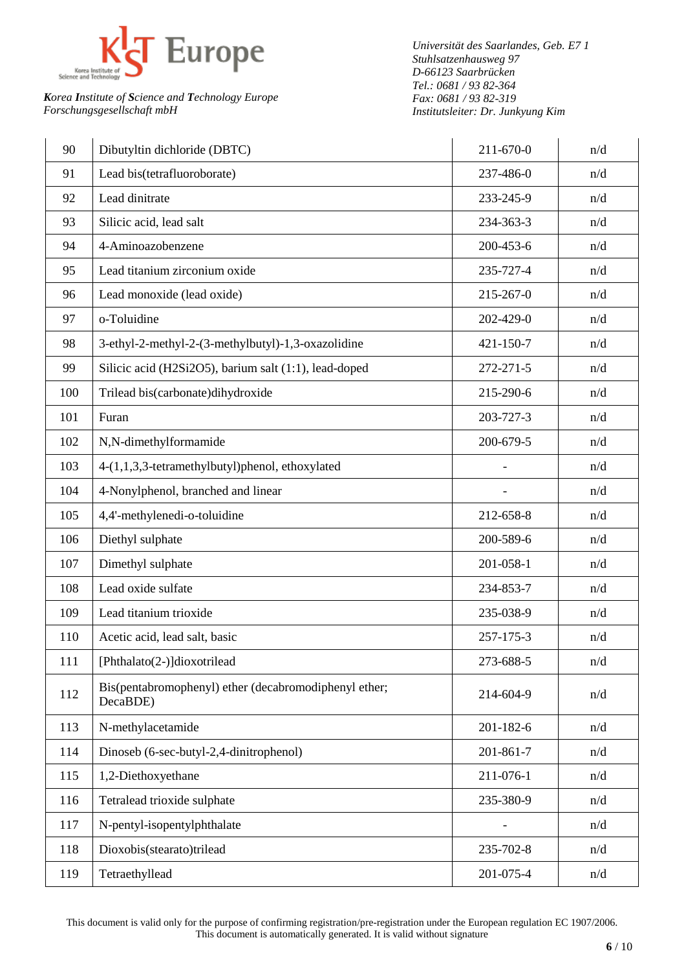

*Universität des Saarlandes, Geb. E7 1 Stuhlsatzenhausweg 97 D-66123 Saarbrücken Tel.: 0681 / 93 82-364 Fax: 0681 / 93 82-319 Institutsleiter: Dr. Junkyung Kim*

| 90  | Dibutyltin dichloride (DBTC)                                      | 211-670-0 | n/d |
|-----|-------------------------------------------------------------------|-----------|-----|
| 91  | Lead bis(tetrafluoroborate)                                       | 237-486-0 | n/d |
| 92  | Lead dinitrate                                                    | 233-245-9 | n/d |
| 93  | Silicic acid, lead salt                                           | 234-363-3 | n/d |
| 94  | 4-Aminoazobenzene                                                 | 200-453-6 | n/d |
| 95  | Lead titanium zirconium oxide                                     | 235-727-4 | n/d |
| 96  | Lead monoxide (lead oxide)                                        | 215-267-0 | n/d |
| 97  | o-Toluidine                                                       | 202-429-0 | n/d |
| 98  | 3-ethyl-2-methyl-2-(3-methylbutyl)-1,3-oxazolidine                | 421-150-7 | n/d |
| 99  | Silicic acid (H2Si2O5), barium salt (1:1), lead-doped             | 272-271-5 | n/d |
| 100 | Trilead bis(carbonate)dihydroxide                                 | 215-290-6 | n/d |
| 101 | Furan                                                             | 203-727-3 | n/d |
| 102 | N,N-dimethylformamide                                             | 200-679-5 | n/d |
| 103 | 4-(1,1,3,3-tetramethylbutyl)phenol, ethoxylated                   |           | n/d |
| 104 | 4-Nonylphenol, branched and linear                                |           | n/d |
| 105 | 4,4'-methylenedi-o-toluidine                                      | 212-658-8 | n/d |
| 106 | Diethyl sulphate                                                  | 200-589-6 | n/d |
| 107 | Dimethyl sulphate                                                 | 201-058-1 | n/d |
| 108 | Lead oxide sulfate                                                | 234-853-7 | n/d |
| 109 | Lead titanium trioxide                                            | 235-038-9 | n/d |
| 110 | Acetic acid, lead salt, basic                                     | 257-175-3 | n/d |
| 111 | [Phthalato(2-)]dioxotrilead                                       | 273-688-5 | n/d |
| 112 | Bis(pentabromophenyl) ether (decabromodiphenyl ether;<br>DecaBDE) | 214-604-9 | n/d |
| 113 | N-methylacetamide                                                 | 201-182-6 | n/d |
| 114 | Dinoseb (6-sec-butyl-2,4-dinitrophenol)                           | 201-861-7 | n/d |
| 115 | 1,2-Diethoxyethane                                                | 211-076-1 | n/d |
| 116 | Tetralead trioxide sulphate                                       | 235-380-9 | n/d |
| 117 | N-pentyl-isopentylphthalate                                       |           | n/d |
| 118 | Dioxobis(stearato)trilead                                         | 235-702-8 | n/d |
| 119 | Tetraethyllead                                                    | 201-075-4 | n/d |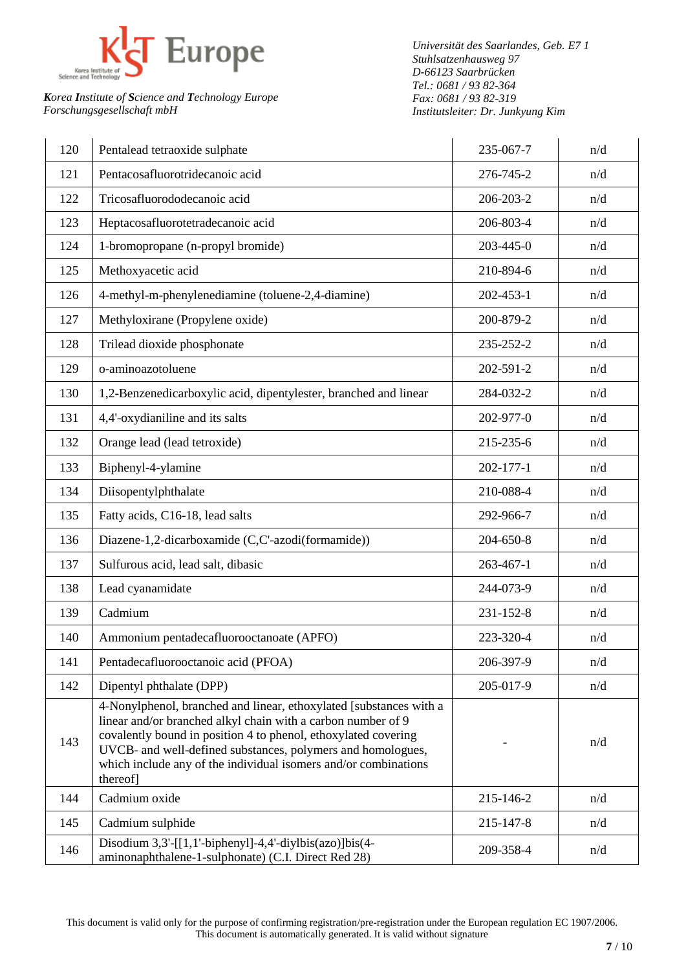

*Universität des Saarlandes, Geb. E7 1 Stuhlsatzenhausweg 97 D-66123 Saarbrücken Tel.: 0681 / 93 82-364 Fax: 0681 / 93 82-319 Institutsleiter: Dr. Junkyung Kim*

| 120 | Pentalead tetraoxide sulphate                                                                                                                                                                                                                                                                                                                      | 235-067-7       | n/d |
|-----|----------------------------------------------------------------------------------------------------------------------------------------------------------------------------------------------------------------------------------------------------------------------------------------------------------------------------------------------------|-----------------|-----|
| 121 | Pentacosafluorotridecanoic acid                                                                                                                                                                                                                                                                                                                    | 276-745-2       | n/d |
| 122 | Tricosafluorododecanoic acid                                                                                                                                                                                                                                                                                                                       | 206-203-2       | n/d |
| 123 | Heptacosafluorotetradecanoic acid                                                                                                                                                                                                                                                                                                                  | 206-803-4       | n/d |
| 124 | 1-bromopropane (n-propyl bromide)                                                                                                                                                                                                                                                                                                                  | 203-445-0       | n/d |
| 125 | Methoxyacetic acid                                                                                                                                                                                                                                                                                                                                 | 210-894-6       | n/d |
| 126 | 4-methyl-m-phenylenediamine (toluene-2,4-diamine)                                                                                                                                                                                                                                                                                                  | $202 - 453 - 1$ | n/d |
| 127 | Methyloxirane (Propylene oxide)                                                                                                                                                                                                                                                                                                                    | 200-879-2       | n/d |
| 128 | Trilead dioxide phosphonate                                                                                                                                                                                                                                                                                                                        | 235-252-2       | n/d |
| 129 | o-aminoazotoluene                                                                                                                                                                                                                                                                                                                                  | 202-591-2       | n/d |
| 130 | 1,2-Benzenedicarboxylic acid, dipentylester, branched and linear                                                                                                                                                                                                                                                                                   | 284-032-2       | n/d |
| 131 | 4,4'-oxydianiline and its salts                                                                                                                                                                                                                                                                                                                    | 202-977-0       | n/d |
| 132 | Orange lead (lead tetroxide)                                                                                                                                                                                                                                                                                                                       | 215-235-6       | n/d |
| 133 | Biphenyl-4-ylamine                                                                                                                                                                                                                                                                                                                                 | $202 - 177 - 1$ | n/d |
| 134 | Diisopentylphthalate                                                                                                                                                                                                                                                                                                                               | 210-088-4       | n/d |
| 135 | Fatty acids, C16-18, lead salts                                                                                                                                                                                                                                                                                                                    | 292-966-7       | n/d |
| 136 | Diazene-1,2-dicarboxamide (C,C'-azodi(formamide))                                                                                                                                                                                                                                                                                                  | 204-650-8       | n/d |
| 137 | Sulfurous acid, lead salt, dibasic                                                                                                                                                                                                                                                                                                                 | $263 - 467 - 1$ | n/d |
| 138 | Lead cyanamidate                                                                                                                                                                                                                                                                                                                                   | 244-073-9       | n/d |
| 139 | Cadmium                                                                                                                                                                                                                                                                                                                                            | 231-152-8       | n/d |
| 140 | Ammonium pentadecafluorooctanoate (APFO)                                                                                                                                                                                                                                                                                                           | 223-320-4       | n/d |
| 141 | Pentadecafluorooctanoic acid (PFOA)                                                                                                                                                                                                                                                                                                                | 206-397-9       | n/d |
| 142 | Dipentyl phthalate (DPP)                                                                                                                                                                                                                                                                                                                           | 205-017-9       | n/d |
| 143 | 4-Nonylphenol, branched and linear, ethoxylated [substances with a<br>linear and/or branched alkyl chain with a carbon number of 9<br>covalently bound in position 4 to phenol, ethoxylated covering<br>UVCB- and well-defined substances, polymers and homologues,<br>which include any of the individual isomers and/or combinations<br>thereof] |                 | n/d |
| 144 | Cadmium oxide                                                                                                                                                                                                                                                                                                                                      | 215-146-2       | n/d |
| 145 | Cadmium sulphide                                                                                                                                                                                                                                                                                                                                   | 215-147-8       | n/d |
| 146 | Disodium $3,3'$ -[[1,1'-biphenyl]-4,4'-diylbis(azo)]bis(4-<br>aminonaphthalene-1-sulphonate) (C.I. Direct Red 28)                                                                                                                                                                                                                                  | 209-358-4       | n/d |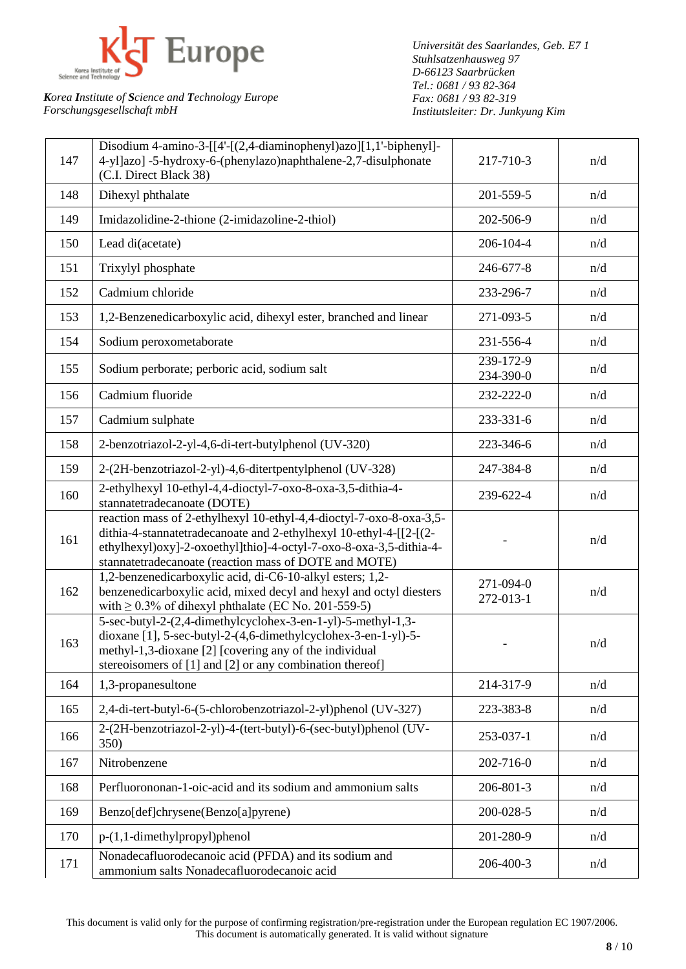

*Universität des Saarlandes, Geb. E7 1 Stuhlsatzenhausweg 97 D-66123 Saarbrücken Tel.: 0681 / 93 82-364 Fax: 0681 / 93 82-319 Institutsleiter: Dr. Junkyung Kim*

| 147 | Disodium 4-amino-3- $[4-(2,4-diaminopheny1)azo][1,1'-bipheny1]-$<br>4-yl]azo] -5-hydroxy-6-(phenylazo)naphthalene-2,7-disulphonate<br>(C.I. Direct Black 38)                                                                                                             | 217-710-3              | n/d |
|-----|--------------------------------------------------------------------------------------------------------------------------------------------------------------------------------------------------------------------------------------------------------------------------|------------------------|-----|
| 148 | Dihexyl phthalate                                                                                                                                                                                                                                                        | 201-559-5              | n/d |
| 149 | Imidazolidine-2-thione (2-imidazoline-2-thiol)                                                                                                                                                                                                                           | 202-506-9              | n/d |
| 150 | Lead di(acetate)                                                                                                                                                                                                                                                         | 206-104-4              | n/d |
| 151 | Trixylyl phosphate                                                                                                                                                                                                                                                       | 246-677-8              | n/d |
| 152 | Cadmium chloride                                                                                                                                                                                                                                                         | 233-296-7              | n/d |
| 153 | 1,2-Benzenedicarboxylic acid, dihexyl ester, branched and linear                                                                                                                                                                                                         | 271-093-5              | n/d |
| 154 | Sodium peroxometaborate                                                                                                                                                                                                                                                  | 231-556-4              | n/d |
| 155 | Sodium perborate; perboric acid, sodium salt                                                                                                                                                                                                                             | 239-172-9<br>234-390-0 | n/d |
| 156 | Cadmium fluoride                                                                                                                                                                                                                                                         | 232-222-0              | n/d |
| 157 | Cadmium sulphate                                                                                                                                                                                                                                                         | 233-331-6              | n/d |
| 158 | 2-benzotriazol-2-yl-4,6-di-tert-butylphenol (UV-320)                                                                                                                                                                                                                     | 223-346-6              | n/d |
| 159 | 2-(2H-benzotriazol-2-yl)-4,6-ditertpentylphenol (UV-328)                                                                                                                                                                                                                 | 247-384-8              | n/d |
| 160 | 2-ethylhexyl 10-ethyl-4,4-dioctyl-7-oxo-8-oxa-3,5-dithia-4-<br>stannatetradecanoate (DOTE)                                                                                                                                                                               | 239-622-4              | n/d |
| 161 | reaction mass of 2-ethylhexyl 10-ethyl-4,4-dioctyl-7-oxo-8-oxa-3,5-<br>dithia-4-stannatetradecanoate and 2-ethylhexyl 10-ethyl-4-[[2-[(2-<br>ethylhexyl)oxy]-2-oxoethyl]thio]-4-octyl-7-oxo-8-oxa-3,5-dithia-4-<br>stannatetradecanoate (reaction mass of DOTE and MOTE) |                        | n/d |
| 162 | 1,2-benzenedicarboxylic acid, di-C6-10-alkyl esters; 1,2-<br>benzenedicarboxylic acid, mixed decyl and hexyl and octyl diesters<br>with $\geq$ 0.3% of dihexyl phthalate (EC No. 201-559-5)                                                                              | 271-094-0<br>272-013-1 | n/d |
| 163 | 5-sec-butyl-2-(2,4-dimethylcyclohex-3-en-1-yl)-5-methyl-1,3-<br>dioxane [1], 5-sec-butyl-2-(4,6-dimethylcyclohex-3-en-1-yl)-5-<br>methyl-1,3-dioxane [2] [covering any of the individual<br>stereoisomers of [1] and [2] or any combination thereof]                     |                        | n/d |
| 164 | 1,3-propanesultone                                                                                                                                                                                                                                                       | 214-317-9              | n/d |
| 165 | 2,4-di-tert-butyl-6-(5-chlorobenzotriazol-2-yl)phenol (UV-327)                                                                                                                                                                                                           | 223-383-8              | n/d |
| 166 | 2-(2H-benzotriazol-2-yl)-4-(tert-butyl)-6-(sec-butyl)phenol (UV-<br>350)                                                                                                                                                                                                 | 253-037-1              | n/d |
| 167 | Nitrobenzene                                                                                                                                                                                                                                                             | 202-716-0              | n/d |
| 168 | Perfluorononan-1-oic-acid and its sodium and ammonium salts                                                                                                                                                                                                              | 206-801-3              | n/d |
| 169 | Benzo[def]chrysene(Benzo[a]pyrene)                                                                                                                                                                                                                                       | 200-028-5              | n/d |
| 170 | $p-(1,1-dimethylpropyl)$ phenol                                                                                                                                                                                                                                          | 201-280-9              | n/d |
| 171 | Nonadecafluorodecanoic acid (PFDA) and its sodium and<br>ammonium salts Nonadecafluorodecanoic acid                                                                                                                                                                      | 206-400-3              | n/d |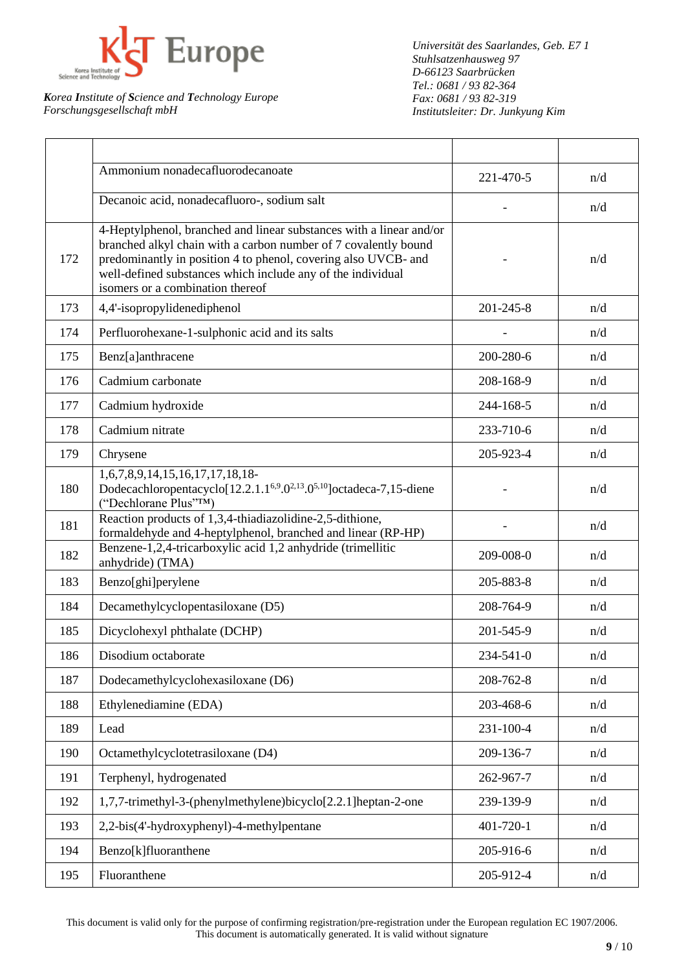

*Universität des Saarlandes, Geb. E7 1 Stuhlsatzenhausweg 97 D-66123 Saarbrücken Tel.: 0681 / 93 82-364 Fax: 0681 / 93 82-319 Institutsleiter: Dr. Junkyung Kim*

|     | Ammonium nonadecafluorodecanoate                                                                                                                                                                                                                                                                            | 221-470-5 | n/d |
|-----|-------------------------------------------------------------------------------------------------------------------------------------------------------------------------------------------------------------------------------------------------------------------------------------------------------------|-----------|-----|
|     | Decanoic acid, nonadecafluoro-, sodium salt                                                                                                                                                                                                                                                                 |           | n/d |
| 172 | 4-Heptylphenol, branched and linear substances with a linear and/or<br>branched alkyl chain with a carbon number of 7 covalently bound<br>predominantly in position 4 to phenol, covering also UVCB- and<br>well-defined substances which include any of the individual<br>isomers or a combination thereof |           | n/d |
| 173 | 4,4'-isopropylidenediphenol                                                                                                                                                                                                                                                                                 | 201-245-8 | n/d |
| 174 | Perfluorohexane-1-sulphonic acid and its salts                                                                                                                                                                                                                                                              |           | n/d |
| 175 | Benz[a]anthracene                                                                                                                                                                                                                                                                                           | 200-280-6 | n/d |
| 176 | Cadmium carbonate                                                                                                                                                                                                                                                                                           | 208-168-9 | n/d |
| 177 | Cadmium hydroxide                                                                                                                                                                                                                                                                                           | 244-168-5 | n/d |
| 178 | Cadmium nitrate                                                                                                                                                                                                                                                                                             | 233-710-6 | n/d |
| 179 | Chrysene                                                                                                                                                                                                                                                                                                    | 205-923-4 | n/d |
| 180 | 1,6,7,8,9,14,15,16,17,17,18,18-<br>Dodecachloropentacyclo[12.2.1.1 <sup>6,9</sup> .0 <sup>2,13</sup> .0 <sup>5,10</sup> ]octadeca-7,15-diene<br>("Dechlorane Plus"TM)                                                                                                                                       |           | n/d |
| 181 | Reaction products of 1,3,4-thiadiazolidine-2,5-dithione,<br>formaldehyde and 4-heptylphenol, branched and linear (RP-HP)                                                                                                                                                                                    |           | n/d |
| 182 | Benzene-1,2,4-tricarboxylic acid 1,2 anhydride (trimellitic<br>anhydride) (TMA)                                                                                                                                                                                                                             | 209-008-0 | n/d |
| 183 | Benzo[ghi]perylene                                                                                                                                                                                                                                                                                          | 205-883-8 | n/d |
| 184 | Decamethylcyclopentasiloxane (D5)                                                                                                                                                                                                                                                                           | 208-764-9 | n/d |
| 185 | Dicyclohexyl phthalate (DCHP)                                                                                                                                                                                                                                                                               | 201-545-9 | n/d |
| 186 | Disodium octaborate                                                                                                                                                                                                                                                                                         | 234-541-0 | n/d |
| 187 | Dodecamethylcyclohexasiloxane (D6)                                                                                                                                                                                                                                                                          | 208-762-8 | n/d |
| 188 | Ethylenediamine (EDA)                                                                                                                                                                                                                                                                                       | 203-468-6 | n/d |
| 189 | Lead                                                                                                                                                                                                                                                                                                        | 231-100-4 | n/d |
| 190 | Octamethylcyclotetrasiloxane (D4)                                                                                                                                                                                                                                                                           | 209-136-7 | n/d |
| 191 | Terphenyl, hydrogenated                                                                                                                                                                                                                                                                                     | 262-967-7 | n/d |
| 192 | 1,7,7-trimethyl-3-(phenylmethylene)bicyclo[2.2.1] heptan-2-one                                                                                                                                                                                                                                              | 239-139-9 | n/d |
| 193 | 2,2-bis(4'-hydroxyphenyl)-4-methylpentane                                                                                                                                                                                                                                                                   | 401-720-1 | n/d |
| 194 | Benzo[k]fluoranthene                                                                                                                                                                                                                                                                                        | 205-916-6 | n/d |
| 195 | Fluoranthene                                                                                                                                                                                                                                                                                                | 205-912-4 | n/d |